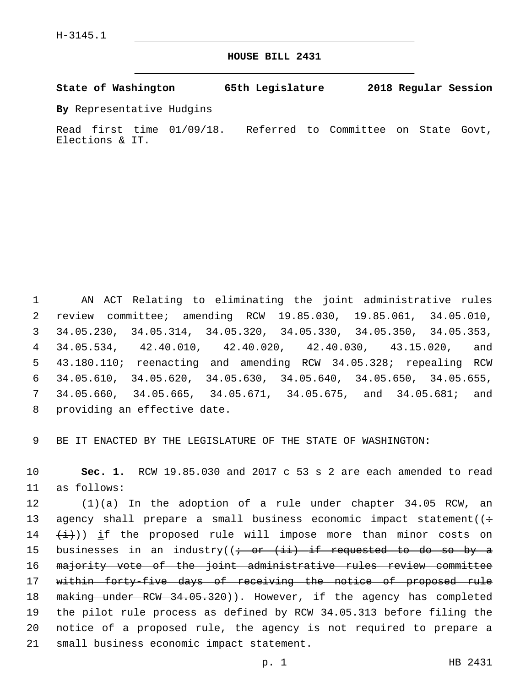**HOUSE BILL 2431**

**State of Washington 65th Legislature 2018 Regular Session**

**By** Representative Hudgins

Read first time 01/09/18. Referred to Committee on State Govt, Elections & IT.

 AN ACT Relating to eliminating the joint administrative rules review committee; amending RCW 19.85.030, 19.85.061, 34.05.010, 34.05.230, 34.05.314, 34.05.320, 34.05.330, 34.05.350, 34.05.353, 34.05.534, 42.40.010, 42.40.020, 42.40.030, 43.15.020, and 43.180.110; reenacting and amending RCW 34.05.328; repealing RCW 34.05.610, 34.05.620, 34.05.630, 34.05.640, 34.05.650, 34.05.655, 34.05.660, 34.05.665, 34.05.671, 34.05.675, and 34.05.681; and 8 providing an effective date.

9 BE IT ENACTED BY THE LEGISLATURE OF THE STATE OF WASHINGTON:

10 **Sec. 1.** RCW 19.85.030 and 2017 c 53 s 2 are each amended to read as follows:11

12 (1)(a) In the adoption of a rule under chapter 34.05 RCW, an 13 agency shall prepare a small business economic impact statement( $($ :  $14$   $(\pm)$ )) if the proposed rule will impose more than minor costs on 15 businesses in an industry( $\left(i - \text{or } i\right)$  if requested to do so by a 16 majority vote of the joint administrative rules review committee 17 within forty-five days of receiving the notice of proposed rule 18 making under RCW 34.05.320)). However, if the agency has completed 19 the pilot rule process as defined by RCW 34.05.313 before filing the 20 notice of a proposed rule, the agency is not required to prepare a 21 small business economic impact statement.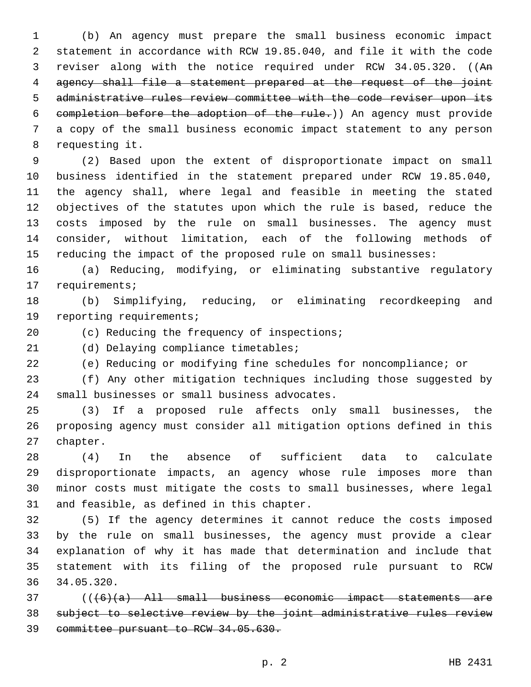(b) An agency must prepare the small business economic impact statement in accordance with RCW 19.85.040, and file it with the code reviser along with the notice required under RCW 34.05.320. ((An agency shall file a statement prepared at the request of the joint administrative rules review committee with the code reviser upon its completion before the adoption of the rule.)) An agency must provide a copy of the small business economic impact statement to any person 8 requesting it.

 (2) Based upon the extent of disproportionate impact on small business identified in the statement prepared under RCW 19.85.040, the agency shall, where legal and feasible in meeting the stated objectives of the statutes upon which the rule is based, reduce the costs imposed by the rule on small businesses. The agency must consider, without limitation, each of the following methods of reducing the impact of the proposed rule on small businesses:

 (a) Reducing, modifying, or eliminating substantive regulatory 17 requirements;

 (b) Simplifying, reducing, or eliminating recordkeeping and 19 reporting requirements;

20 (c) Reducing the frequency of inspections;

21 (d) Delaying compliance timetables;

(e) Reducing or modifying fine schedules for noncompliance; or

 (f) Any other mitigation techniques including those suggested by 24 small businesses or small business advocates.

 (3) If a proposed rule affects only small businesses, the proposing agency must consider all mitigation options defined in this 27 chapter.

 (4) In the absence of sufficient data to calculate disproportionate impacts, an agency whose rule imposes more than minor costs must mitigate the costs to small businesses, where legal 31 and feasible, as defined in this chapter.

 (5) If the agency determines it cannot reduce the costs imposed by the rule on small businesses, the agency must provide a clear explanation of why it has made that determination and include that statement with its filing of the proposed rule pursuant to RCW 34.05.320.

 (((6)(a) All small business economic impact statements are subject to selective review by the joint administrative rules review committee pursuant to RCW 34.05.630.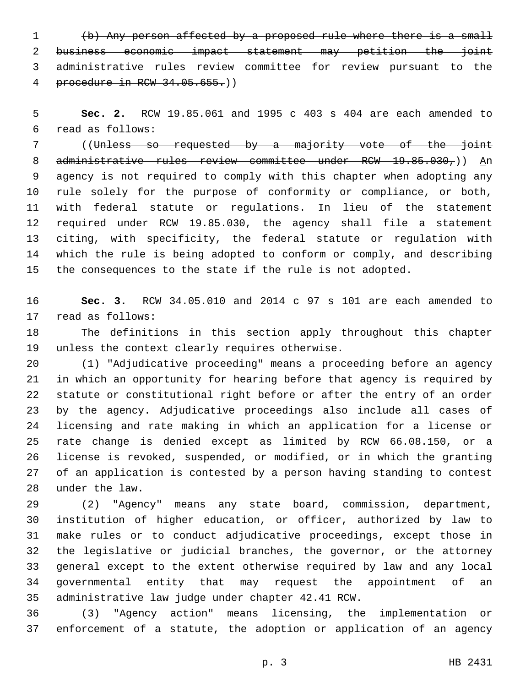(b) Any person affected by a proposed rule where there is a small business economic impact statement may petition the joint administrative rules review committee for review pursuant to the procedure in RCW 34.05.655.))

 **Sec. 2.** RCW 19.85.061 and 1995 c 403 s 404 are each amended to read as follows:6

 ((Unless so requested by a majority vote of the joint 8 administrative rules review committee under RCW 19.85.030,)) An agency is not required to comply with this chapter when adopting any rule solely for the purpose of conformity or compliance, or both, with federal statute or regulations. In lieu of the statement required under RCW 19.85.030, the agency shall file a statement citing, with specificity, the federal statute or regulation with which the rule is being adopted to conform or comply, and describing the consequences to the state if the rule is not adopted.

 **Sec. 3.** RCW 34.05.010 and 2014 c 97 s 101 are each amended to 17 read as follows:

 The definitions in this section apply throughout this chapter 19 unless the context clearly requires otherwise.

 (1) "Adjudicative proceeding" means a proceeding before an agency in which an opportunity for hearing before that agency is required by statute or constitutional right before or after the entry of an order by the agency. Adjudicative proceedings also include all cases of licensing and rate making in which an application for a license or rate change is denied except as limited by RCW 66.08.150, or a license is revoked, suspended, or modified, or in which the granting of an application is contested by a person having standing to contest 28 under the law.

 (2) "Agency" means any state board, commission, department, institution of higher education, or officer, authorized by law to make rules or to conduct adjudicative proceedings, except those in the legislative or judicial branches, the governor, or the attorney general except to the extent otherwise required by law and any local governmental entity that may request the appointment of an 35 administrative law judge under chapter 42.41 RCW.

 (3) "Agency action" means licensing, the implementation or enforcement of a statute, the adoption or application of an agency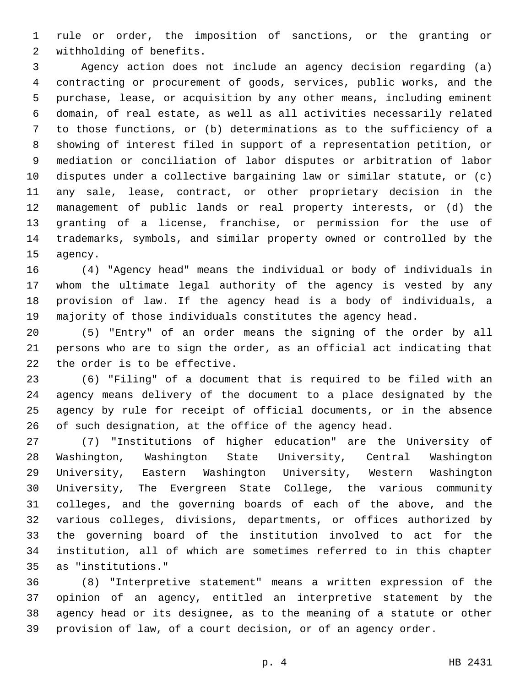rule or order, the imposition of sanctions, or the granting or 2 withholding of benefits.

 Agency action does not include an agency decision regarding (a) contracting or procurement of goods, services, public works, and the purchase, lease, or acquisition by any other means, including eminent domain, of real estate, as well as all activities necessarily related to those functions, or (b) determinations as to the sufficiency of a showing of interest filed in support of a representation petition, or mediation or conciliation of labor disputes or arbitration of labor disputes under a collective bargaining law or similar statute, or (c) any sale, lease, contract, or other proprietary decision in the management of public lands or real property interests, or (d) the granting of a license, franchise, or permission for the use of trademarks, symbols, and similar property owned or controlled by the 15 agency.

 (4) "Agency head" means the individual or body of individuals in whom the ultimate legal authority of the agency is vested by any provision of law. If the agency head is a body of individuals, a majority of those individuals constitutes the agency head.

 (5) "Entry" of an order means the signing of the order by all persons who are to sign the order, as an official act indicating that 22 the order is to be effective.

 (6) "Filing" of a document that is required to be filed with an agency means delivery of the document to a place designated by the agency by rule for receipt of official documents, or in the absence of such designation, at the office of the agency head.

 (7) "Institutions of higher education" are the University of Washington, Washington State University, Central Washington University, Eastern Washington University, Western Washington University, The Evergreen State College, the various community colleges, and the governing boards of each of the above, and the various colleges, divisions, departments, or offices authorized by the governing board of the institution involved to act for the institution, all of which are sometimes referred to in this chapter as "institutions."35

 (8) "Interpretive statement" means a written expression of the opinion of an agency, entitled an interpretive statement by the agency head or its designee, as to the meaning of a statute or other provision of law, of a court decision, or of an agency order.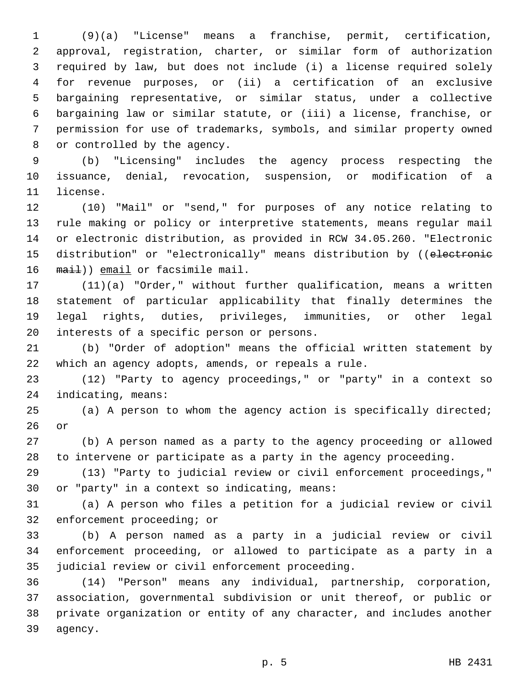(9)(a) "License" means a franchise, permit, certification, approval, registration, charter, or similar form of authorization required by law, but does not include (i) a license required solely for revenue purposes, or (ii) a certification of an exclusive bargaining representative, or similar status, under a collective bargaining law or similar statute, or (iii) a license, franchise, or permission for use of trademarks, symbols, and similar property owned 8 or controlled by the agency.

 (b) "Licensing" includes the agency process respecting the issuance, denial, revocation, suspension, or modification of a 11 license.

 (10) "Mail" or "send," for purposes of any notice relating to rule making or policy or interpretive statements, means regular mail or electronic distribution, as provided in RCW 34.05.260. "Electronic 15 distribution" or "electronically" means distribution by ((electronie 16 mail)) email or facsimile mail.

 (11)(a) "Order," without further qualification, means a written statement of particular applicability that finally determines the legal rights, duties, privileges, immunities, or other legal 20 interests of a specific person or persons.

 (b) "Order of adoption" means the official written statement by which an agency adopts, amends, or repeals a rule.

 (12) "Party to agency proceedings," or "party" in a context so 24 indicating, means:

 (a) A person to whom the agency action is specifically directed; or

 (b) A person named as a party to the agency proceeding or allowed to intervene or participate as a party in the agency proceeding.

 (13) "Party to judicial review or civil enforcement proceedings," 30 or "party" in a context so indicating, means:

 (a) A person who files a petition for a judicial review or civil 32 enforcement proceeding; or

 (b) A person named as a party in a judicial review or civil enforcement proceeding, or allowed to participate as a party in a 35 judicial review or civil enforcement proceeding.

 (14) "Person" means any individual, partnership, corporation, association, governmental subdivision or unit thereof, or public or private organization or entity of any character, and includes another 39 agency.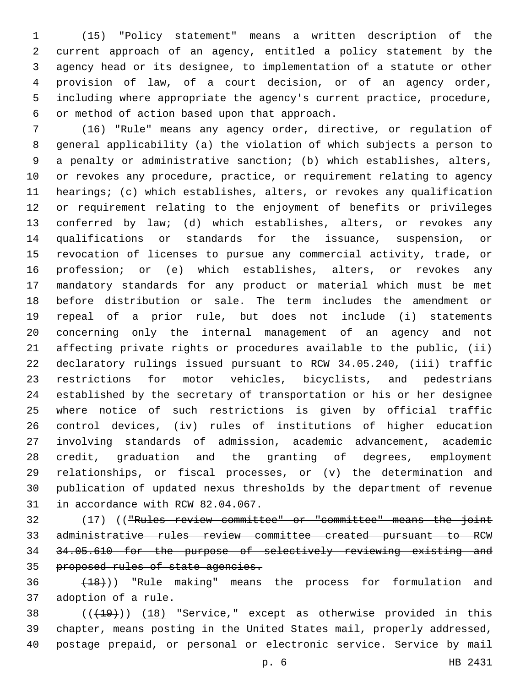(15) "Policy statement" means a written description of the current approach of an agency, entitled a policy statement by the agency head or its designee, to implementation of a statute or other provision of law, of a court decision, or of an agency order, including where appropriate the agency's current practice, procedure, 6 or method of action based upon that approach.

 (16) "Rule" means any agency order, directive, or regulation of general applicability (a) the violation of which subjects a person to a penalty or administrative sanction; (b) which establishes, alters, or revokes any procedure, practice, or requirement relating to agency hearings; (c) which establishes, alters, or revokes any qualification or requirement relating to the enjoyment of benefits or privileges conferred by law; (d) which establishes, alters, or revokes any qualifications or standards for the issuance, suspension, or revocation of licenses to pursue any commercial activity, trade, or profession; or (e) which establishes, alters, or revokes any mandatory standards for any product or material which must be met before distribution or sale. The term includes the amendment or repeal of a prior rule, but does not include (i) statements concerning only the internal management of an agency and not affecting private rights or procedures available to the public, (ii) declaratory rulings issued pursuant to RCW 34.05.240, (iii) traffic restrictions for motor vehicles, bicyclists, and pedestrians established by the secretary of transportation or his or her designee where notice of such restrictions is given by official traffic control devices, (iv) rules of institutions of higher education involving standards of admission, academic advancement, academic credit, graduation and the granting of degrees, employment relationships, or fiscal processes, or (v) the determination and publication of updated nexus thresholds by the department of revenue 31 in accordance with RCW 82.04.067.

 (17) (("Rules review committee" or "committee" means the joint administrative rules review committee created pursuant to RCW 34.05.610 for the purpose of selectively reviewing existing and proposed rules of state agencies.

  $(18)$ ) "Rule making" means the process for formulation and 37 adoption of a rule.

38 (( $(19)$ )) (18) "Service," except as otherwise provided in this chapter, means posting in the United States mail, properly addressed, postage prepaid, or personal or electronic service. Service by mail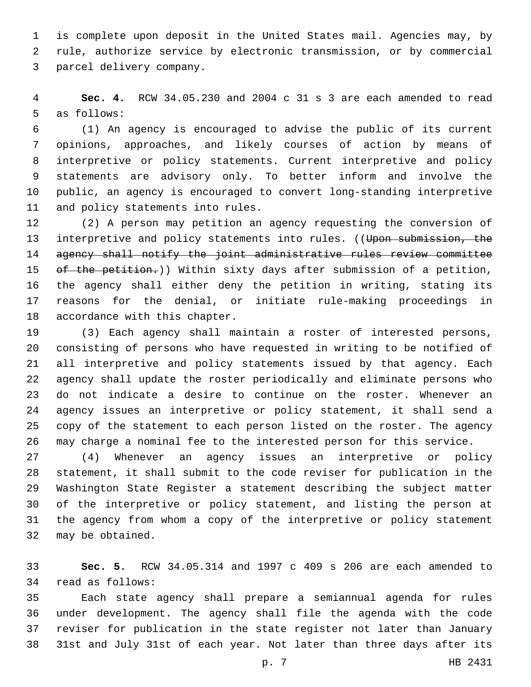is complete upon deposit in the United States mail. Agencies may, by rule, authorize service by electronic transmission, or by commercial 3 parcel delivery company.

 **Sec. 4.** RCW 34.05.230 and 2004 c 31 s 3 are each amended to read 5 as follows:

 (1) An agency is encouraged to advise the public of its current opinions, approaches, and likely courses of action by means of interpretive or policy statements. Current interpretive and policy statements are advisory only. To better inform and involve the public, an agency is encouraged to convert long-standing interpretive 11 and policy statements into rules.

 (2) A person may petition an agency requesting the conversion of 13 interpretive and policy statements into rules. ((Upon submission, the agency shall notify the joint administrative rules review committee 15 of the petition.)) Within sixty days after submission of a petition, the agency shall either deny the petition in writing, stating its reasons for the denial, or initiate rule-making proceedings in 18 accordance with this chapter.

 (3) Each agency shall maintain a roster of interested persons, consisting of persons who have requested in writing to be notified of all interpretive and policy statements issued by that agency. Each agency shall update the roster periodically and eliminate persons who do not indicate a desire to continue on the roster. Whenever an agency issues an interpretive or policy statement, it shall send a copy of the statement to each person listed on the roster. The agency may charge a nominal fee to the interested person for this service.

 (4) Whenever an agency issues an interpretive or policy statement, it shall submit to the code reviser for publication in the Washington State Register a statement describing the subject matter of the interpretive or policy statement, and listing the person at the agency from whom a copy of the interpretive or policy statement 32 may be obtained.

 **Sec. 5.** RCW 34.05.314 and 1997 c 409 s 206 are each amended to 34 read as follows:

 Each state agency shall prepare a semiannual agenda for rules under development. The agency shall file the agenda with the code reviser for publication in the state register not later than January 31st and July 31st of each year. Not later than three days after its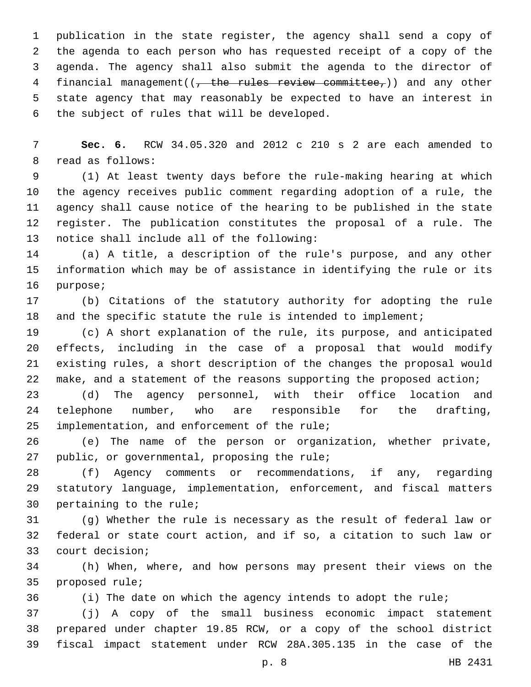publication in the state register, the agency shall send a copy of the agenda to each person who has requested receipt of a copy of the agenda. The agency shall also submit the agenda to the director of 4 financial management( $\left(\frac{1}{t} + \frac{1}{t} + \frac{1}{t} + \frac{1}{t} + \frac{1}{t} + \frac{1}{t} + \frac{1}{t} + \frac{1}{t} + \frac{1}{t} + \frac{1}{t} + \frac{1}{t} + \frac{1}{t} + \frac{1}{t} + \frac{1}{t} + \frac{1}{t} + \frac{1}{t} + \frac{1}{t} + \frac{1}{t} + \frac{1}{t} + \frac{1}{t} + \frac{1}{t} + \frac{1}{t} + \frac{1}{t} + \frac{1}{t} + \frac{$  state agency that may reasonably be expected to have an interest in 6 the subject of rules that will be developed.

 **Sec. 6.** RCW 34.05.320 and 2012 c 210 s 2 are each amended to 8 read as follows:

 (1) At least twenty days before the rule-making hearing at which the agency receives public comment regarding adoption of a rule, the agency shall cause notice of the hearing to be published in the state register. The publication constitutes the proposal of a rule. The 13 notice shall include all of the following:

 (a) A title, a description of the rule's purpose, and any other information which may be of assistance in identifying the rule or its 16 purpose;

 (b) Citations of the statutory authority for adopting the rule 18 and the specific statute the rule is intended to implement;

 (c) A short explanation of the rule, its purpose, and anticipated effects, including in the case of a proposal that would modify existing rules, a short description of the changes the proposal would make, and a statement of the reasons supporting the proposed action;

 (d) The agency personnel, with their office location and telephone number, who are responsible for the drafting, 25 implementation, and enforcement of the rule;

 (e) The name of the person or organization, whether private, 27 public, or governmental, proposing the rule;

 (f) Agency comments or recommendations, if any, regarding statutory language, implementation, enforcement, and fiscal matters 30 pertaining to the rule;

 (g) Whether the rule is necessary as the result of federal law or federal or state court action, and if so, a citation to such law or 33 court decision;

 (h) When, where, and how persons may present their views on the 35 proposed rule;

(i) The date on which the agency intends to adopt the rule;

 (j) A copy of the small business economic impact statement prepared under chapter 19.85 RCW, or a copy of the school district fiscal impact statement under RCW 28A.305.135 in the case of the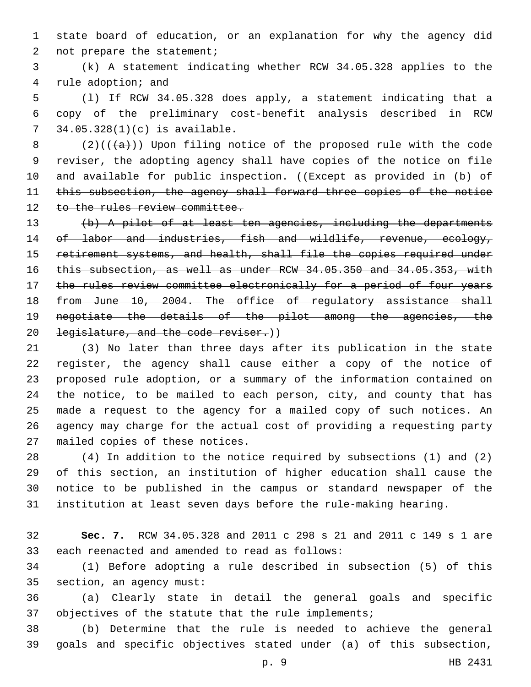state board of education, or an explanation for why the agency did 2 not prepare the statement;

 (k) A statement indicating whether RCW 34.05.328 applies to the 4 rule adoption; and

 (l) If RCW 34.05.328 does apply, a statement indicating that a copy of the preliminary cost-benefit analysis described in RCW 34.05.328(1)(c) is available.7

8 (2)( $(\overline{a})$ )) Upon filing notice of the proposed rule with the code reviser, the adopting agency shall have copies of the notice on file 10 and available for public inspection. ((Except as provided in (b) of 11 this subsection, the agency shall forward three copies of the notice 12 to the rules review committee.

 (b) A pilot of at least ten agencies, including the departments 14 of labor and industries, fish and wildlife, revenue, ecology, 15 retirement systems, and health, shall file the copies required under this subsection, as well as under RCW 34.05.350 and 34.05.353, with 17 the rules review committee electronically for a period of four years from June 10, 2004. The office of regulatory assistance shall negotiate the details of the pilot among the agencies, the 20 legislature, and the code reviser.))

 (3) No later than three days after its publication in the state register, the agency shall cause either a copy of the notice of proposed rule adoption, or a summary of the information contained on the notice, to be mailed to each person, city, and county that has made a request to the agency for a mailed copy of such notices. An agency may charge for the actual cost of providing a requesting party 27 mailed copies of these notices.

 (4) In addition to the notice required by subsections (1) and (2) of this section, an institution of higher education shall cause the notice to be published in the campus or standard newspaper of the institution at least seven days before the rule-making hearing.

 **Sec. 7.** RCW 34.05.328 and 2011 c 298 s 21 and 2011 c 149 s 1 are 33 each reenacted and amended to read as follows:

 (1) Before adopting a rule described in subsection (5) of this 35 section, an agency must:

 (a) Clearly state in detail the general goals and specific objectives of the statute that the rule implements;

 (b) Determine that the rule is needed to achieve the general goals and specific objectives stated under (a) of this subsection,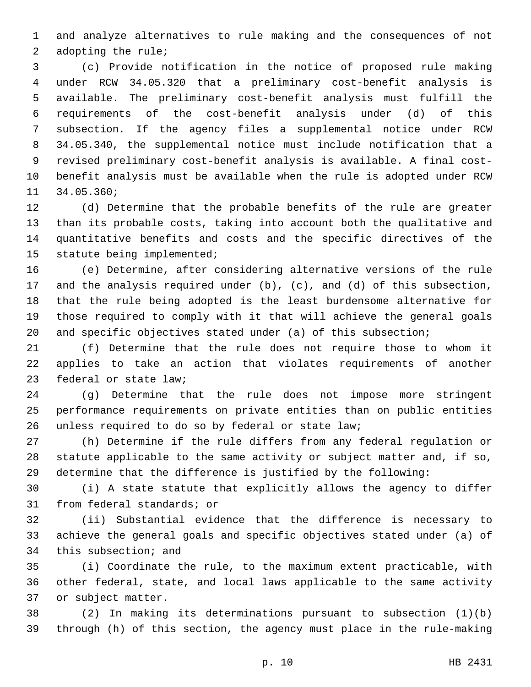and analyze alternatives to rule making and the consequences of not 2 adopting the rule;

 (c) Provide notification in the notice of proposed rule making under RCW 34.05.320 that a preliminary cost-benefit analysis is available. The preliminary cost-benefit analysis must fulfill the requirements of the cost-benefit analysis under (d) of this subsection. If the agency files a supplemental notice under RCW 34.05.340, the supplemental notice must include notification that a revised preliminary cost-benefit analysis is available. A final cost- benefit analysis must be available when the rule is adopted under RCW 11 34.05.360;

 (d) Determine that the probable benefits of the rule are greater than its probable costs, taking into account both the qualitative and quantitative benefits and costs and the specific directives of the 15 statute being implemented;

 (e) Determine, after considering alternative versions of the rule and the analysis required under (b), (c), and (d) of this subsection, that the rule being adopted is the least burdensome alternative for those required to comply with it that will achieve the general goals and specific objectives stated under (a) of this subsection;

 (f) Determine that the rule does not require those to whom it applies to take an action that violates requirements of another 23 federal or state law;

 (g) Determine that the rule does not impose more stringent performance requirements on private entities than on public entities 26 unless required to do so by federal or state law;

 (h) Determine if the rule differs from any federal regulation or statute applicable to the same activity or subject matter and, if so, determine that the difference is justified by the following:

 (i) A state statute that explicitly allows the agency to differ 31 from federal standards; or

 (ii) Substantial evidence that the difference is necessary to achieve the general goals and specific objectives stated under (a) of 34 this subsection; and

 (i) Coordinate the rule, to the maximum extent practicable, with other federal, state, and local laws applicable to the same activity 37 or subject matter.

 (2) In making its determinations pursuant to subsection (1)(b) through (h) of this section, the agency must place in the rule-making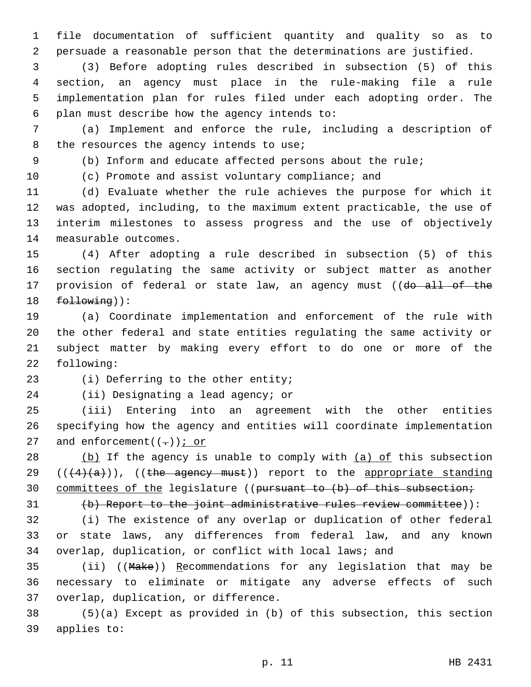file documentation of sufficient quantity and quality so as to persuade a reasonable person that the determinations are justified.

 (3) Before adopting rules described in subsection (5) of this section, an agency must place in the rule-making file a rule implementation plan for rules filed under each adopting order. The 6 plan must describe how the agency intends to:

 (a) Implement and enforce the rule, including a description of 8 the resources the agency intends to use;

(b) Inform and educate affected persons about the rule;

(c) Promote and assist voluntary compliance; and

 (d) Evaluate whether the rule achieves the purpose for which it was adopted, including, to the maximum extent practicable, the use of interim milestones to assess progress and the use of objectively 14 measurable outcomes.

 (4) After adopting a rule described in subsection (5) of this section regulating the same activity or subject matter as another 17 provision of federal or state law, an agency must ((do all of the 18 following)):

 (a) Coordinate implementation and enforcement of the rule with the other federal and state entities regulating the same activity or subject matter by making every effort to do one or more of the 22 following:

23 (i) Deferring to the other entity;

24 (ii) Designating a lead agency; or

 (iii) Entering into an agreement with the other entities specifying how the agency and entities will coordinate implementation 27 and enforcement( $(-)$ ); or

28  $(b)$  If the agency is unable to comply with  $(a)$  of this subsection  $((4)(a))$ ,  $((the \text{aquery must}))$  report to the appropriate standing 30 committees of the legislature ((pursuant to (b) of this subsection;

31 (b) Report to the joint administrative rules review committee)):

 (i) The existence of any overlap or duplication of other federal or state laws, any differences from federal law, and any known overlap, duplication, or conflict with local laws; and

 (ii) ((Make)) Recommendations for any legislation that may be necessary to eliminate or mitigate any adverse effects of such 37 overlap, duplication, or difference.

 (5)(a) Except as provided in (b) of this subsection, this section 39 applies to: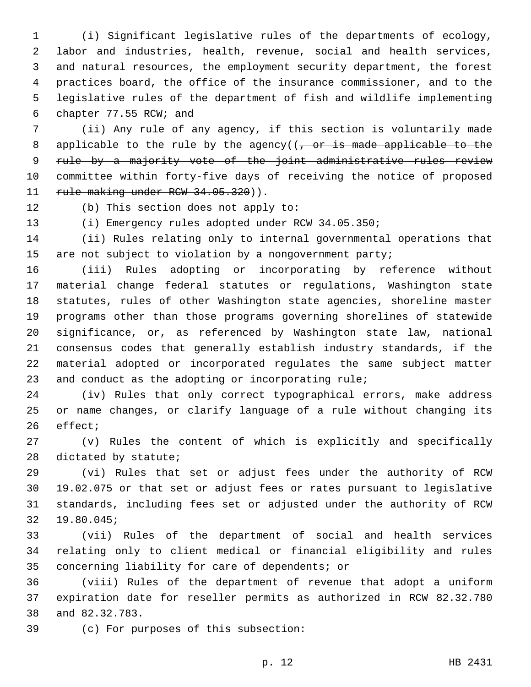(i) Significant legislative rules of the departments of ecology, labor and industries, health, revenue, social and health services, and natural resources, the employment security department, the forest practices board, the office of the insurance commissioner, and to the legislative rules of the department of fish and wildlife implementing 6 chapter 77.55 RCW; and

 (ii) Any rule of any agency, if this section is voluntarily made 8 applicable to the rule by the agency( $(-\sigma r)$  is made applicable to the 9 rule by a majority vote of the joint administrative rules review committee within forty-five days of receiving the notice of proposed 11 rule making under RCW 34.05.320)).

12 (b) This section does not apply to:

(i) Emergency rules adopted under RCW 34.05.350;

 (ii) Rules relating only to internal governmental operations that are not subject to violation by a nongovernment party;

 (iii) Rules adopting or incorporating by reference without material change federal statutes or regulations, Washington state statutes, rules of other Washington state agencies, shoreline master programs other than those programs governing shorelines of statewide significance, or, as referenced by Washington state law, national consensus codes that generally establish industry standards, if the material adopted or incorporated regulates the same subject matter and conduct as the adopting or incorporating rule;

 (iv) Rules that only correct typographical errors, make address or name changes, or clarify language of a rule without changing its 26 effect;

 (v) Rules the content of which is explicitly and specifically 28 dictated by statute;

 (vi) Rules that set or adjust fees under the authority of RCW 19.02.075 or that set or adjust fees or rates pursuant to legislative standards, including fees set or adjusted under the authority of RCW 19.80.045;32

 (vii) Rules of the department of social and health services relating only to client medical or financial eligibility and rules 35 concerning liability for care of dependents; or

 (viii) Rules of the department of revenue that adopt a uniform expiration date for reseller permits as authorized in RCW 82.32.780 38 and 82.32.783.

(c) For purposes of this subsection:39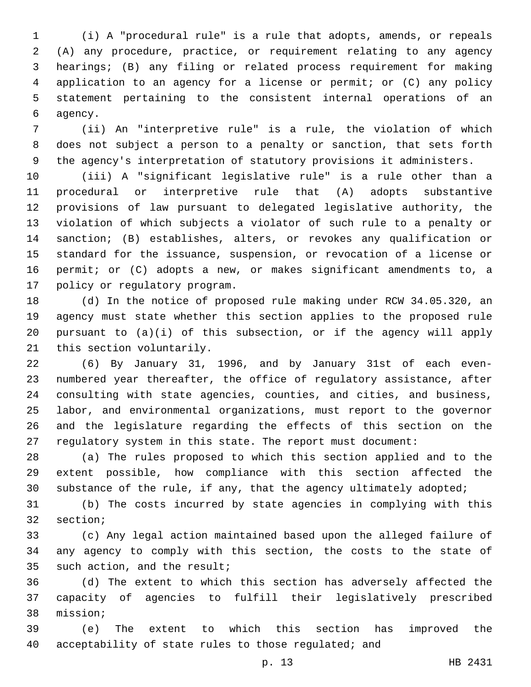(i) A "procedural rule" is a rule that adopts, amends, or repeals (A) any procedure, practice, or requirement relating to any agency hearings; (B) any filing or related process requirement for making application to an agency for a license or permit; or (C) any policy statement pertaining to the consistent internal operations of an 6 agency.

 (ii) An "interpretive rule" is a rule, the violation of which does not subject a person to a penalty or sanction, that sets forth the agency's interpretation of statutory provisions it administers.

 (iii) A "significant legislative rule" is a rule other than a procedural or interpretive rule that (A) adopts substantive provisions of law pursuant to delegated legislative authority, the violation of which subjects a violator of such rule to a penalty or sanction; (B) establishes, alters, or revokes any qualification or standard for the issuance, suspension, or revocation of a license or permit; or (C) adopts a new, or makes significant amendments to, a 17 policy or regulatory program.

 (d) In the notice of proposed rule making under RCW 34.05.320, an agency must state whether this section applies to the proposed rule pursuant to (a)(i) of this subsection, or if the agency will apply 21 this section voluntarily.

 (6) By January 31, 1996, and by January 31st of each even- numbered year thereafter, the office of regulatory assistance, after consulting with state agencies, counties, and cities, and business, labor, and environmental organizations, must report to the governor and the legislature regarding the effects of this section on the regulatory system in this state. The report must document:

 (a) The rules proposed to which this section applied and to the extent possible, how compliance with this section affected the substance of the rule, if any, that the agency ultimately adopted;

 (b) The costs incurred by state agencies in complying with this 32 section;

 (c) Any legal action maintained based upon the alleged failure of any agency to comply with this section, the costs to the state of 35 such action, and the result;

 (d) The extent to which this section has adversely affected the capacity of agencies to fulfill their legislatively prescribed 38 mission;

 (e) The extent to which this section has improved the acceptability of state rules to those regulated; and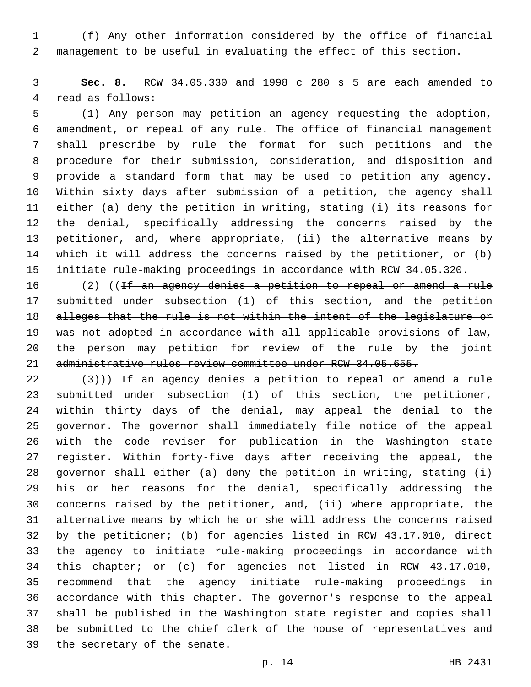(f) Any other information considered by the office of financial management to be useful in evaluating the effect of this section.

 **Sec. 8.** RCW 34.05.330 and 1998 c 280 s 5 are each amended to 4 read as follows:

 (1) Any person may petition an agency requesting the adoption, amendment, or repeal of any rule. The office of financial management shall prescribe by rule the format for such petitions and the procedure for their submission, consideration, and disposition and provide a standard form that may be used to petition any agency. Within sixty days after submission of a petition, the agency shall either (a) deny the petition in writing, stating (i) its reasons for the denial, specifically addressing the concerns raised by the petitioner, and, where appropriate, (ii) the alternative means by which it will address the concerns raised by the petitioner, or (b) initiate rule-making proceedings in accordance with RCW 34.05.320.

16 (2) ((If an agency denies a petition to repeal or amend a rule submitted under subsection (1) of this section, and the petition 18 alleges that the rule is not within the intent of the legislature or was not adopted in accordance with all applicable provisions of law, the person may petition for review of the rule by the joint administrative rules review committee under RCW 34.05.655.

 $(3)$ )) If an agency denies a petition to repeal or amend a rule submitted under subsection (1) of this section, the petitioner, within thirty days of the denial, may appeal the denial to the governor. The governor shall immediately file notice of the appeal with the code reviser for publication in the Washington state register. Within forty-five days after receiving the appeal, the governor shall either (a) deny the petition in writing, stating (i) his or her reasons for the denial, specifically addressing the concerns raised by the petitioner, and, (ii) where appropriate, the alternative means by which he or she will address the concerns raised by the petitioner; (b) for agencies listed in RCW 43.17.010, direct the agency to initiate rule-making proceedings in accordance with this chapter; or (c) for agencies not listed in RCW 43.17.010, recommend that the agency initiate rule-making proceedings in accordance with this chapter. The governor's response to the appeal shall be published in the Washington state register and copies shall be submitted to the chief clerk of the house of representatives and 39 the secretary of the senate.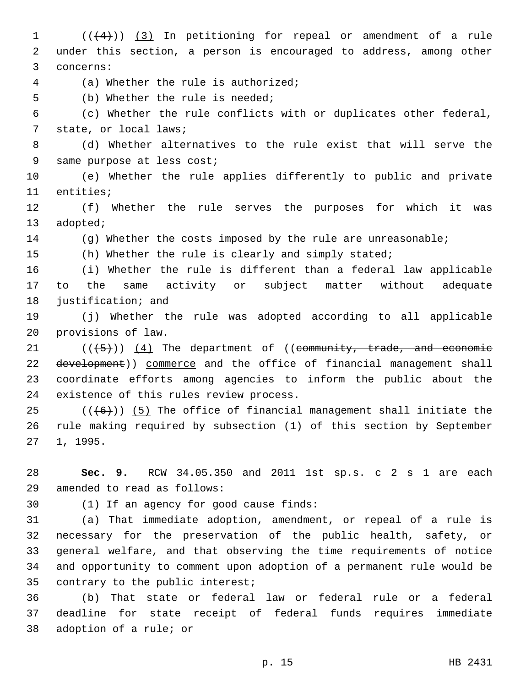1 (((4))) (3) In petitioning for repeal or amendment of a rule 2 under this section, a person is encouraged to address, among other 3 concerns:

(a) Whether the rule is authorized;4

5 (b) Whether the rule is needed;

6 (c) Whether the rule conflicts with or duplicates other federal, 7 state, or local laws;

8 (d) Whether alternatives to the rule exist that will serve the 9 same purpose at less cost;

10 (e) Whether the rule applies differently to public and private 11 entities;

12 (f) Whether the rule serves the purposes for which it was 13 adopted;

14 (g) Whether the costs imposed by the rule are unreasonable;

15 (h) Whether the rule is clearly and simply stated;

16 (i) Whether the rule is different than a federal law applicable 17 to the same activity or subject matter without adequate 18 justification; and

19 (j) Whether the rule was adopted according to all applicable 20 provisions of law.

 $(1 + 5)$  (( $(4)$  The department of ((community, trade, and economic 22 development)) commerce and the office of financial management shall 23 coordinate efforts among agencies to inform the public about the 24 existence of this rules review process.

25  $((+6))$   $(5)$  The office of financial management shall initiate the 26 rule making required by subsection (1) of this section by September 27 1, 1995.

28 **Sec. 9.** RCW 34.05.350 and 2011 1st sp.s. c 2 s 1 are each 29 amended to read as follows:

30 (1) If an agency for good cause finds:

 (a) That immediate adoption, amendment, or repeal of a rule is necessary for the preservation of the public health, safety, or general welfare, and that observing the time requirements of notice and opportunity to comment upon adoption of a permanent rule would be 35 contrary to the public interest;

36 (b) That state or federal law or federal rule or a federal 37 deadline for state receipt of federal funds requires immediate 38 adoption of a rule; or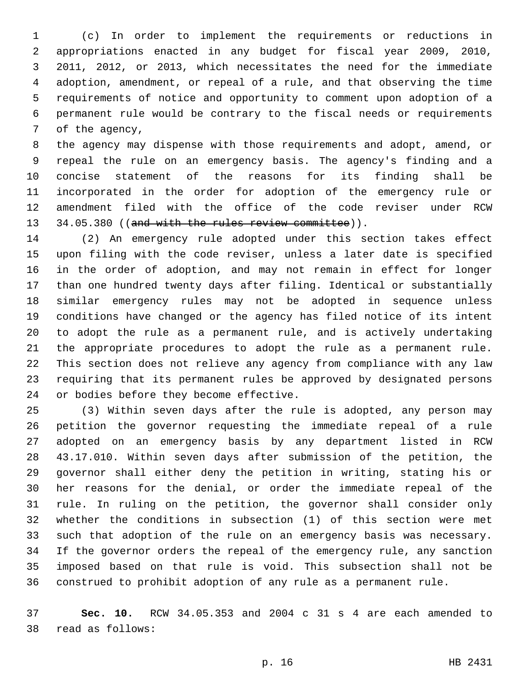(c) In order to implement the requirements or reductions in appropriations enacted in any budget for fiscal year 2009, 2010, 2011, 2012, or 2013, which necessitates the need for the immediate adoption, amendment, or repeal of a rule, and that observing the time requirements of notice and opportunity to comment upon adoption of a permanent rule would be contrary to the fiscal needs or requirements 7 of the agency,

 the agency may dispense with those requirements and adopt, amend, or repeal the rule on an emergency basis. The agency's finding and a concise statement of the reasons for its finding shall be incorporated in the order for adoption of the emergency rule or amendment filed with the office of the code reviser under RCW 13 34.05.380 ((and with the rules review committee)).

 (2) An emergency rule adopted under this section takes effect upon filing with the code reviser, unless a later date is specified in the order of adoption, and may not remain in effect for longer than one hundred twenty days after filing. Identical or substantially similar emergency rules may not be adopted in sequence unless conditions have changed or the agency has filed notice of its intent to adopt the rule as a permanent rule, and is actively undertaking the appropriate procedures to adopt the rule as a permanent rule. This section does not relieve any agency from compliance with any law requiring that its permanent rules be approved by designated persons 24 or bodies before they become effective.

 (3) Within seven days after the rule is adopted, any person may petition the governor requesting the immediate repeal of a rule adopted on an emergency basis by any department listed in RCW 43.17.010. Within seven days after submission of the petition, the governor shall either deny the petition in writing, stating his or her reasons for the denial, or order the immediate repeal of the rule. In ruling on the petition, the governor shall consider only whether the conditions in subsection (1) of this section were met such that adoption of the rule on an emergency basis was necessary. If the governor orders the repeal of the emergency rule, any sanction imposed based on that rule is void. This subsection shall not be construed to prohibit adoption of any rule as a permanent rule.

 **Sec. 10.** RCW 34.05.353 and 2004 c 31 s 4 are each amended to read as follows:38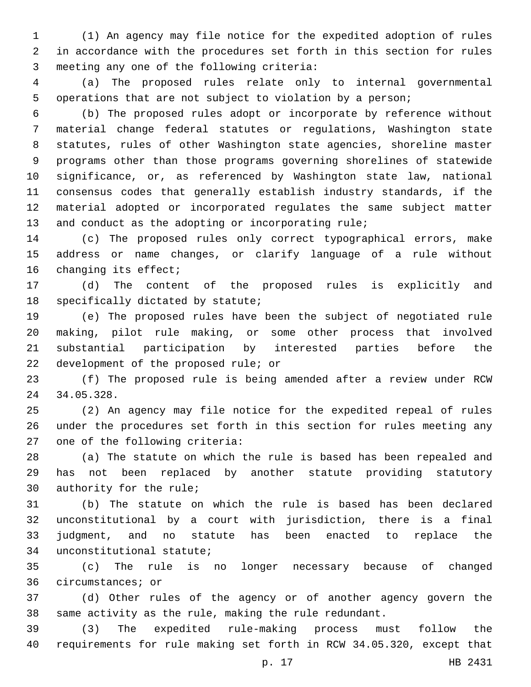(1) An agency may file notice for the expedited adoption of rules in accordance with the procedures set forth in this section for rules 3 meeting any one of the following criteria:

 (a) The proposed rules relate only to internal governmental operations that are not subject to violation by a person;

 (b) The proposed rules adopt or incorporate by reference without material change federal statutes or regulations, Washington state statutes, rules of other Washington state agencies, shoreline master programs other than those programs governing shorelines of statewide significance, or, as referenced by Washington state law, national consensus codes that generally establish industry standards, if the material adopted or incorporated regulates the same subject matter and conduct as the adopting or incorporating rule;

 (c) The proposed rules only correct typographical errors, make address or name changes, or clarify language of a rule without 16 changing its effect;

 (d) The content of the proposed rules is explicitly and 18 specifically dictated by statute;

 (e) The proposed rules have been the subject of negotiated rule making, pilot rule making, or some other process that involved substantial participation by interested parties before the 22 development of the proposed rule; or

 (f) The proposed rule is being amended after a review under RCW 34.05.328.24

 (2) An agency may file notice for the expedited repeal of rules under the procedures set forth in this section for rules meeting any 27 one of the following criteria:

 (a) The statute on which the rule is based has been repealed and has not been replaced by another statute providing statutory 30 authority for the rule;

 (b) The statute on which the rule is based has been declared unconstitutional by a court with jurisdiction, there is a final judgment, and no statute has been enacted to replace the 34 unconstitutional statute;

 (c) The rule is no longer necessary because of changed 36 circumstances; or

 (d) Other rules of the agency or of another agency govern the same activity as the rule, making the rule redundant.

 (3) The expedited rule-making process must follow the requirements for rule making set forth in RCW 34.05.320, except that

p. 17 HB 2431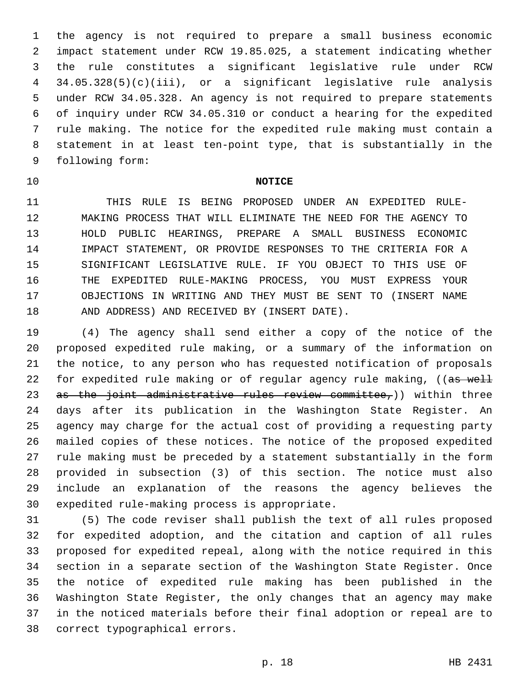the agency is not required to prepare a small business economic impact statement under RCW 19.85.025, a statement indicating whether the rule constitutes a significant legislative rule under RCW 34.05.328(5)(c)(iii), or a significant legislative rule analysis under RCW 34.05.328. An agency is not required to prepare statements of inquiry under RCW 34.05.310 or conduct a hearing for the expedited rule making. The notice for the expedited rule making must contain a statement in at least ten-point type, that is substantially in the 9 following form:

## **NOTICE**

 THIS RULE IS BEING PROPOSED UNDER AN EXPEDITED RULE- MAKING PROCESS THAT WILL ELIMINATE THE NEED FOR THE AGENCY TO HOLD PUBLIC HEARINGS, PREPARE A SMALL BUSINESS ECONOMIC IMPACT STATEMENT, OR PROVIDE RESPONSES TO THE CRITERIA FOR A SIGNIFICANT LEGISLATIVE RULE. IF YOU OBJECT TO THIS USE OF THE EXPEDITED RULE-MAKING PROCESS, YOU MUST EXPRESS YOUR OBJECTIONS IN WRITING AND THEY MUST BE SENT TO (INSERT NAME 18 AND ADDRESS) AND RECEIVED BY (INSERT DATE).

 (4) The agency shall send either a copy of the notice of the proposed expedited rule making, or a summary of the information on the notice, to any person who has requested notification of proposals 22 for expedited rule making or of regular agency rule making, ((as well 23 as the joint administrative rules review committee,)) within three days after its publication in the Washington State Register. An agency may charge for the actual cost of providing a requesting party mailed copies of these notices. The notice of the proposed expedited rule making must be preceded by a statement substantially in the form provided in subsection (3) of this section. The notice must also include an explanation of the reasons the agency believes the 30 expedited rule-making process is appropriate.

 (5) The code reviser shall publish the text of all rules proposed for expedited adoption, and the citation and caption of all rules proposed for expedited repeal, along with the notice required in this section in a separate section of the Washington State Register. Once the notice of expedited rule making has been published in the Washington State Register, the only changes that an agency may make in the noticed materials before their final adoption or repeal are to 38 correct typographical errors.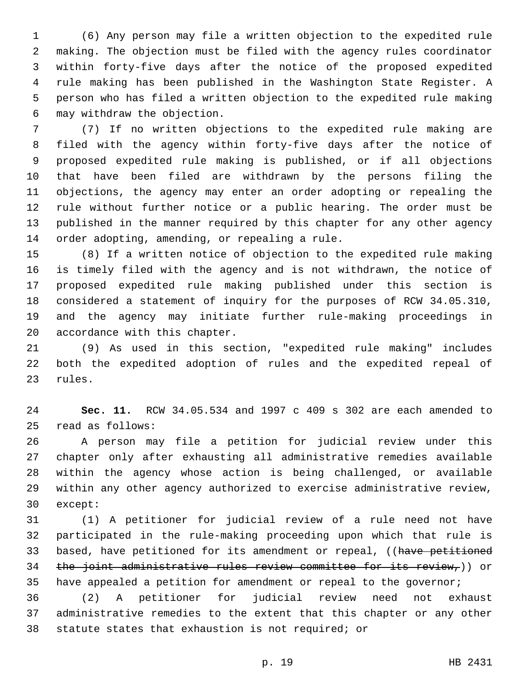(6) Any person may file a written objection to the expedited rule making. The objection must be filed with the agency rules coordinator within forty-five days after the notice of the proposed expedited rule making has been published in the Washington State Register. A person who has filed a written objection to the expedited rule making may withdraw the objection.6

 (7) If no written objections to the expedited rule making are filed with the agency within forty-five days after the notice of proposed expedited rule making is published, or if all objections that have been filed are withdrawn by the persons filing the objections, the agency may enter an order adopting or repealing the rule without further notice or a public hearing. The order must be published in the manner required by this chapter for any other agency 14 order adopting, amending, or repealing a rule.

 (8) If a written notice of objection to the expedited rule making is timely filed with the agency and is not withdrawn, the notice of proposed expedited rule making published under this section is considered a statement of inquiry for the purposes of RCW 34.05.310, and the agency may initiate further rule-making proceedings in 20 accordance with this chapter.

 (9) As used in this section, "expedited rule making" includes both the expedited adoption of rules and the expedited repeal of 23 rules.

 **Sec. 11.** RCW 34.05.534 and 1997 c 409 s 302 are each amended to read as follows:25

 A person may file a petition for judicial review under this chapter only after exhausting all administrative remedies available within the agency whose action is being challenged, or available within any other agency authorized to exercise administrative review, 30 except:

 (1) A petitioner for judicial review of a rule need not have participated in the rule-making proceeding upon which that rule is 33 based, have petitioned for its amendment or repeal, ((have petitioned 34 the joint administrative rules review committee for its review,)) or 35 have appealed a petition for amendment or repeal to the governor;

 (2) A petitioner for judicial review need not exhaust administrative remedies to the extent that this chapter or any other statute states that exhaustion is not required; or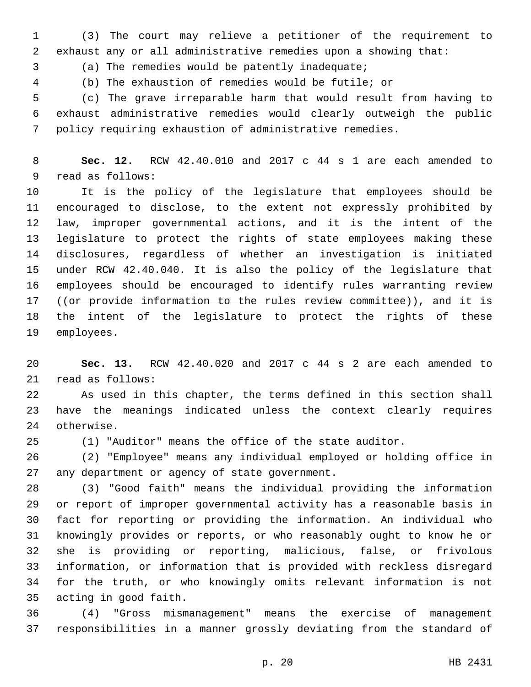(3) The court may relieve a petitioner of the requirement to exhaust any or all administrative remedies upon a showing that:

(a) The remedies would be patently inadequate;3

(b) The exhaustion of remedies would be futile; or

 (c) The grave irreparable harm that would result from having to exhaust administrative remedies would clearly outweigh the public policy requiring exhaustion of administrative remedies.

 **Sec. 12.** RCW 42.40.010 and 2017 c 44 s 1 are each amended to 9 read as follows:

 It is the policy of the legislature that employees should be encouraged to disclose, to the extent not expressly prohibited by law, improper governmental actions, and it is the intent of the legislature to protect the rights of state employees making these disclosures, regardless of whether an investigation is initiated under RCW 42.40.040. It is also the policy of the legislature that employees should be encouraged to identify rules warranting review 17 ((or provide information to the rules review committee)), and it is the intent of the legislature to protect the rights of these 19 employees.

 **Sec. 13.** RCW 42.40.020 and 2017 c 44 s 2 are each amended to 21 read as follows:

 As used in this chapter, the terms defined in this section shall have the meanings indicated unless the context clearly requires 24 otherwise.

(1) "Auditor" means the office of the state auditor.

 (2) "Employee" means any individual employed or holding office in 27 any department or agency of state government.

 (3) "Good faith" means the individual providing the information or report of improper governmental activity has a reasonable basis in fact for reporting or providing the information. An individual who knowingly provides or reports, or who reasonably ought to know he or she is providing or reporting, malicious, false, or frivolous information, or information that is provided with reckless disregard for the truth, or who knowingly omits relevant information is not 35 acting in good faith.

 (4) "Gross mismanagement" means the exercise of management responsibilities in a manner grossly deviating from the standard of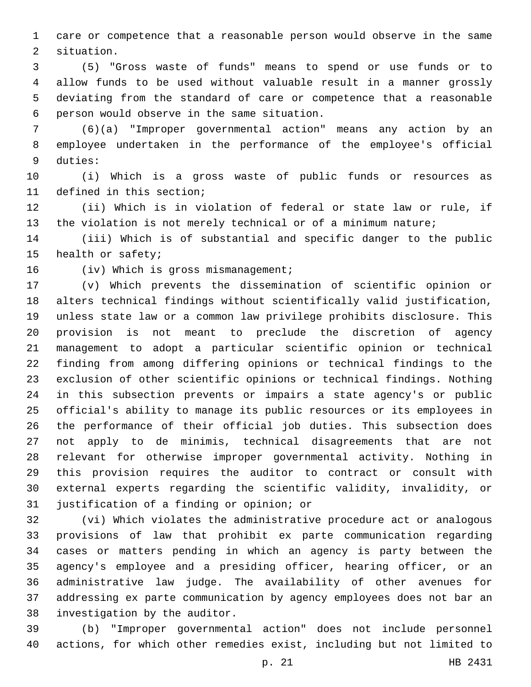care or competence that a reasonable person would observe in the same 2 situation.

 (5) "Gross waste of funds" means to spend or use funds or to allow funds to be used without valuable result in a manner grossly deviating from the standard of care or competence that a reasonable person would observe in the same situation.6

 (6)(a) "Improper governmental action" means any action by an employee undertaken in the performance of the employee's official 9 duties:

 (i) Which is a gross waste of public funds or resources as 11 defined in this section;

 (ii) Which is in violation of federal or state law or rule, if the violation is not merely technical or of a minimum nature;

 (iii) Which is of substantial and specific danger to the public 15 health or safety;

16 (iv) Which is gross mismanagement;

 (v) Which prevents the dissemination of scientific opinion or alters technical findings without scientifically valid justification, unless state law or a common law privilege prohibits disclosure. This provision is not meant to preclude the discretion of agency management to adopt a particular scientific opinion or technical finding from among differing opinions or technical findings to the exclusion of other scientific opinions or technical findings. Nothing in this subsection prevents or impairs a state agency's or public official's ability to manage its public resources or its employees in the performance of their official job duties. This subsection does not apply to de minimis, technical disagreements that are not relevant for otherwise improper governmental activity. Nothing in this provision requires the auditor to contract or consult with external experts regarding the scientific validity, invalidity, or 31 justification of a finding or opinion; or

 (vi) Which violates the administrative procedure act or analogous provisions of law that prohibit ex parte communication regarding cases or matters pending in which an agency is party between the agency's employee and a presiding officer, hearing officer, or an administrative law judge. The availability of other avenues for addressing ex parte communication by agency employees does not bar an 38 investigation by the auditor.

 (b) "Improper governmental action" does not include personnel actions, for which other remedies exist, including but not limited to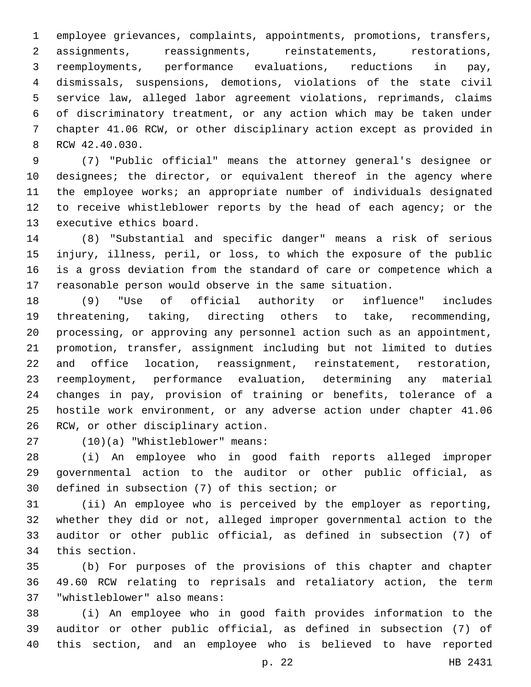employee grievances, complaints, appointments, promotions, transfers, assignments, reassignments, reinstatements, restorations, reemployments, performance evaluations, reductions in pay, dismissals, suspensions, demotions, violations of the state civil service law, alleged labor agreement violations, reprimands, claims of discriminatory treatment, or any action which may be taken under chapter 41.06 RCW, or other disciplinary action except as provided in 8 RCW 42.40.030.

 (7) "Public official" means the attorney general's designee or designees; the director, or equivalent thereof in the agency where the employee works; an appropriate number of individuals designated to receive whistleblower reports by the head of each agency; or the 13 executive ethics board.

 (8) "Substantial and specific danger" means a risk of serious injury, illness, peril, or loss, to which the exposure of the public is a gross deviation from the standard of care or competence which a reasonable person would observe in the same situation.

 (9) "Use of official authority or influence" includes threatening, taking, directing others to take, recommending, processing, or approving any personnel action such as an appointment, promotion, transfer, assignment including but not limited to duties and office location, reassignment, reinstatement, restoration, reemployment, performance evaluation, determining any material changes in pay, provision of training or benefits, tolerance of a hostile work environment, or any adverse action under chapter 41.06 26 RCW, or other disciplinary action.

(10)(a) "Whistleblower" means:27

 (i) An employee who in good faith reports alleged improper governmental action to the auditor or other public official, as 30 defined in subsection (7) of this section; or

 (ii) An employee who is perceived by the employer as reporting, whether they did or not, alleged improper governmental action to the auditor or other public official, as defined in subsection (7) of 34 this section.

 (b) For purposes of the provisions of this chapter and chapter 49.60 RCW relating to reprisals and retaliatory action, the term 37 "whistleblower" also means:

 (i) An employee who in good faith provides information to the auditor or other public official, as defined in subsection (7) of this section, and an employee who is believed to have reported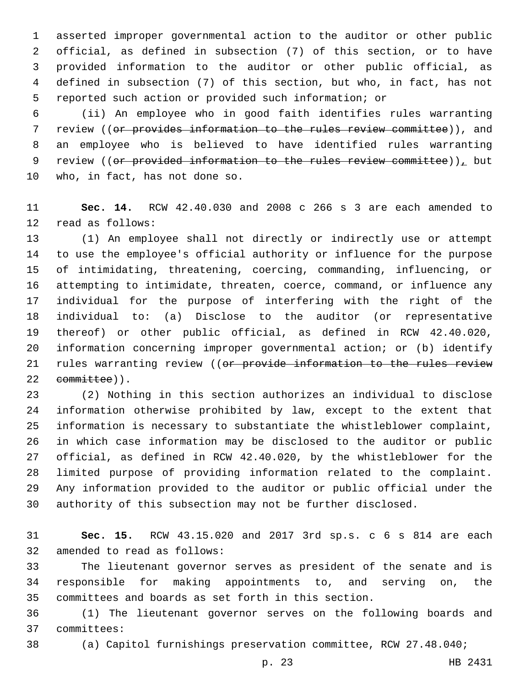asserted improper governmental action to the auditor or other public official, as defined in subsection (7) of this section, or to have provided information to the auditor or other public official, as defined in subsection (7) of this section, but who, in fact, has not reported such action or provided such information; or

 (ii) An employee who in good faith identifies rules warranting review ((or provides information to the rules review committee)), and an employee who is believed to have identified rules warranting 9 review (( $or$  provided information to the rules review committee)), but 10 who, in fact, has not done so.

 **Sec. 14.** RCW 42.40.030 and 2008 c 266 s 3 are each amended to 12 read as follows:

 (1) An employee shall not directly or indirectly use or attempt to use the employee's official authority or influence for the purpose of intimidating, threatening, coercing, commanding, influencing, or attempting to intimidate, threaten, coerce, command, or influence any individual for the purpose of interfering with the right of the individual to: (a) Disclose to the auditor (or representative thereof) or other public official, as defined in RCW 42.40.020, information concerning improper governmental action; or (b) identify 21 rules warranting review ((or provide information to the rules review 22 committee)).

 (2) Nothing in this section authorizes an individual to disclose information otherwise prohibited by law, except to the extent that information is necessary to substantiate the whistleblower complaint, in which case information may be disclosed to the auditor or public official, as defined in RCW 42.40.020, by the whistleblower for the limited purpose of providing information related to the complaint. Any information provided to the auditor or public official under the authority of this subsection may not be further disclosed.

 **Sec. 15.** RCW 43.15.020 and 2017 3rd sp.s. c 6 s 814 are each 32 amended to read as follows:

 The lieutenant governor serves as president of the senate and is responsible for making appointments to, and serving on, the committees and boards as set forth in this section.

 (1) The lieutenant governor serves on the following boards and 37 committees:

(a) Capitol furnishings preservation committee, RCW 27.48.040;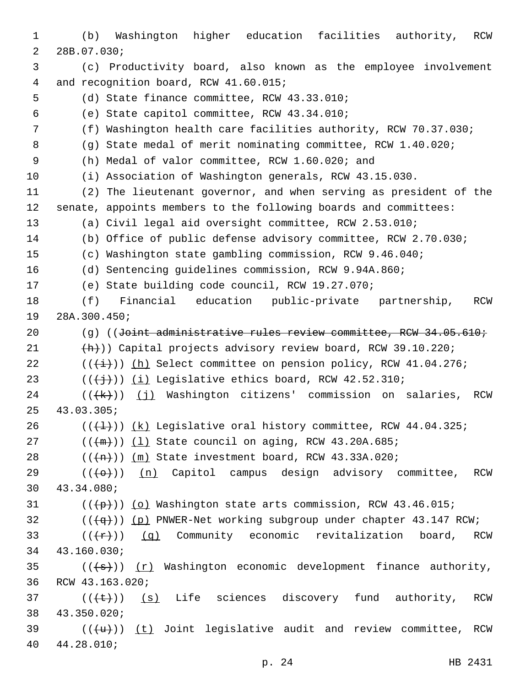1 (b) Washington higher education facilities authority, RCW 2 28B.07.030; 3 (c) Productivity board, also known as the employee involvement 4 and recognition board, RCW 41.60.015; 5 (d) State finance committee, RCW 43.33.010; (e) State capitol committee, RCW 43.34.010;6 7 (f) Washington health care facilities authority, RCW 70.37.030; 8 (g) State medal of merit nominating committee, RCW 1.40.020; 9 (h) Medal of valor committee, RCW 1.60.020; and 10 (i) Association of Washington generals, RCW 43.15.030. 11 (2) The lieutenant governor, and when serving as president of the 12 senate, appoints members to the following boards and committees: 13 (a) Civil legal aid oversight committee, RCW 2.53.010; 14 (b) Office of public defense advisory committee, RCW 2.70.030; 15 (c) Washington state gambling commission, RCW 9.46.040; 16 (d) Sentencing guidelines commission, RCW 9.94A.860; 17 (e) State building code council, RCW 19.27.070; 18 (f) Financial education public-private partnership, RCW 19 28A.300.450; 20 (g) ((Joint administrative rules review committee, RCW 34.05.610; 21 (h))) Capital projects advisory review board, RCW 39.10.220; 22  $((\overline{(+)}))$  (h) Select committee on pension policy, RCW 41.04.276; 23  $((\{\})\)$  (i) Legislative ethics board, RCW 42.52.310; 24 ( $(\overline{\mathsf{R}})$ ) (j) Washington citizens' commission on salaries, RCW 43.03.305;25 26  $((+1))$   $(k)$  Legislative oral history committee, RCW 44.04.325; 27  $((+m))$   $(1)$  State council on aging, RCW 43.20A.685; 28  $((+n))$   $(m)$  State investment board, RCW 43.33A.020;  $29$  (( $\left(\left(\leftarrow\right)+\right)$ ) (n) Capitol campus design advisory committee, RCW 43.34.080;30 31  $((+p))$  (o) Washington state arts commission, RCW 43.46.015;  $32$  ( $(\overline{+q})$ ) (p) PNWER-Net working subgroup under chapter 43.147 RCW; 33 ( $(\frac{f(x)}{f})$  (q) Community economic revitalization board, RCW 34 43.160.030; 35 ( $(\overline{\{a\}})$ ) (r) Washington economic development finance authority, 36 RCW 43.163.020; 37  $((\{\epsilon\})$  (s) Life sciences discovery fund authority, RCW 43.350.020;38 39  $((\{u\}))(t)$  Joint legislative audit and review committee, RCW 44.28.010;40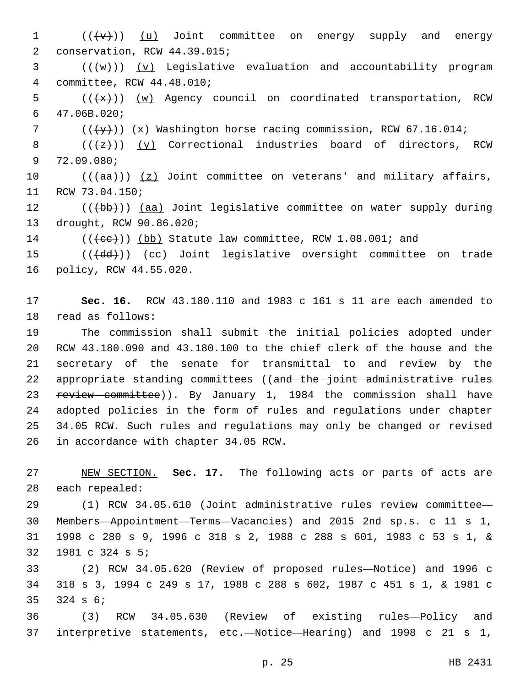$1$   $((\{v\})$   $(u)$  Joint committee on energy supply and energy 2 conservation, RCW 44.39.015;  $3$  (( $\overline{\text{w}}$ )) (v) Legislative evaluation and accountability program committee, RCW 44.48.010;4 5  $((+x))$   $(w)$  Agency council on coordinated transportation, RCW 47.06B.020;6 7  $((\forall y))$  (x) Washington horse racing commission, RCW 67.16.014; 8  $((+z))$   $(y)$  Correctional industries board of directors, RCW 9 72.09.080; 10  $((+aa))$   $(z)$  Joint committee on veterans' and military affairs, 11 RCW 73.04.150; 12 (((b))) (aa) Joint legislative committee on water supply during 13 drought, RCW 90.86.020; 14 (((ee))) (bb) Statute law committee, RCW 1.08.001; and 15 (((+dd))) (cc) Joint legislative oversight committee on trade 16 policy, RCW 44.55.020. 17 **Sec. 16.** RCW 43.180.110 and 1983 c 161 s 11 are each amended to

18 read as follows:

 The commission shall submit the initial policies adopted under RCW 43.180.090 and 43.180.100 to the chief clerk of the house and the secretary of the senate for transmittal to and review by the 22 appropriate standing committees ((and the joint administrative rules 23 <del>review committee</del>)). By January 1, 1984 the commission shall have adopted policies in the form of rules and regulations under chapter 34.05 RCW. Such rules and regulations may only be changed or revised 26 in accordance with chapter 34.05 RCW.

27 NEW SECTION. **Sec. 17.** The following acts or parts of acts are 28 each repealed:

 (1) RCW 34.05.610 (Joint administrative rules review committee— Members—Appointment—Terms—Vacancies) and 2015 2nd sp.s. c 11 s 1, 1998 c 280 s 9, 1996 c 318 s 2, 1988 c 288 s 601, 1983 c 53 s 1, & 32 1981 c 324 s 5;

33 (2) RCW 34.05.620 (Review of proposed rules—Notice) and 1996 c 34 318 s 3, 1994 c 249 s 17, 1988 c 288 s 602, 1987 c 451 s 1, & 1981 c  $35$   $324$  s  $6$ ;

36 (3) RCW 34.05.630 (Review of existing rules—Policy and 37 interpretive statements, etc.—Notice—Hearing) and 1998 c 21 s 1,